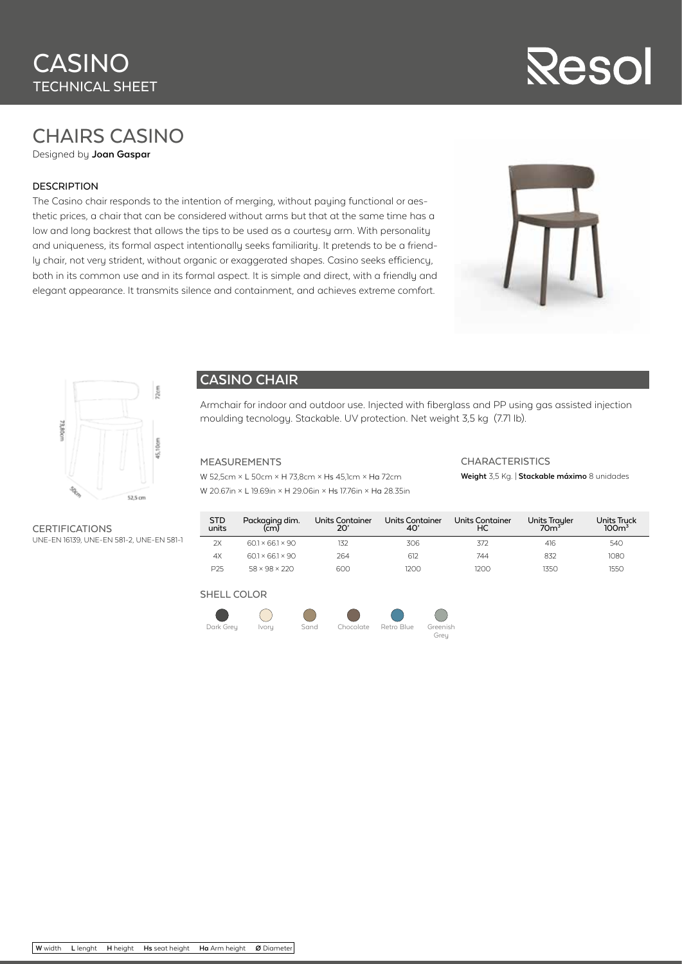# Resol

# CHAIRS CASINO

Designed by **Joan Gaspar**

### DESCRIPTION

The Casino chair responds to the intention of merging, without paying functional or aesthetic prices, a chair that can be considered without arms but that at the same time has a low and long backrest that allows the tips to be used as a courtesy arm. With personality and uniqueness, its formal aspect intentionally seeks familiarity. It pretends to be a friendly chair, not very strident, without organic or exaggerated shapes. Casino seeks efficiency, both in its common use and in its formal aspect. It is simple and direct, with a friendly and elegant appearance. It transmits silence and containment, and achieves extreme comfort.





## **CASINO CHAIR**

Armchair for indoor and outdoor use. Injected with fiberglass and PP using gas assisted injection moulding tecnology. Stackable. UV protection. Net weight 3,5 kg (7.71 lb).

#### MEASUREMENTS

W 52,5cm × L 50cm × H 73,8cm × Hs 45,1cm × Ha 72cm W 20.67in × L 19.69in × H 29.06in × Hs 17.76in × Ha 28.35in

# **CHARACTERISTICS**

# **Weight** 3,5 Kg. | **Stackable máximo** 8 unidades

CERTIFICATIONS UNE-EN 16139, UNE-EN 581-2, UNE-EN 581-1

| STD<br>units    | Packaging dim.<br>(cm)     | Units Container<br>20' | Units Container<br>40' | <b>Units Container</b><br>НC | Units Trayler<br>70 <sup>3</sup> | <b>Units Truck</b><br>100 <sup>3</sup> |
|-----------------|----------------------------|------------------------|------------------------|------------------------------|----------------------------------|----------------------------------------|
| 2X              | $601 \times 661 \times 90$ | 132                    | 306                    | 372                          | 416                              | 540                                    |
| 4X              | $601 \times 661 \times 90$ | 264                    | 612                    | 744                          | 832                              | 1080                                   |
| P <sub>25</sub> | $58 \times 98 \times 220$  | 600                    | 200                    | 1200                         | 1350                             | 1550                                   |

## SHELL COLOR